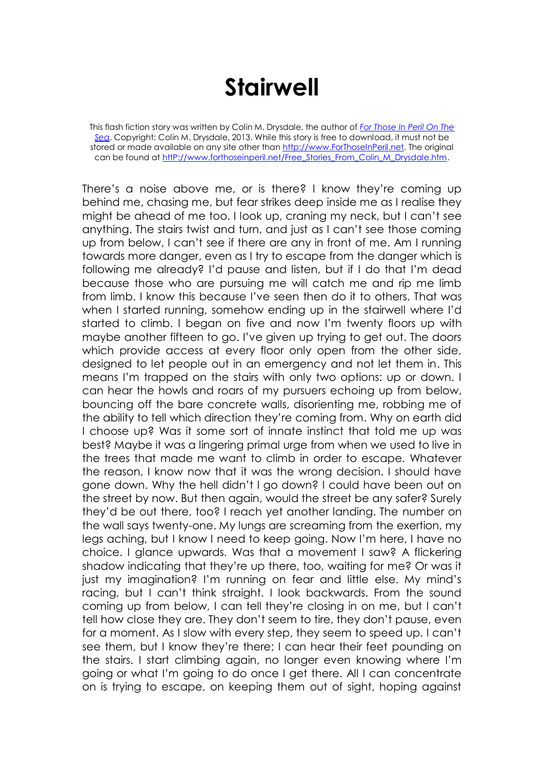## **Stairwell**

This flash fiction story was written by Colin M. Drysdale, the author of *[For Those In Peril On The](http://www.forthoseinperil.net/)  [Sea](http://www.forthoseinperil.net/)*. Copyright: Colin M. Drysdale, 2013. While this story is free to download, it must not be stored or made available on any site other than [http://www.ForThoseInPeril.net.](http://www.forthoseinperil.net/) The original can be found at http://www.forthoseinperil.net/Free\_Stories\_From\_Colin\_M\_Drysdale.htm.

There's a noise above me, or is there? I know they're coming up behind me, chasing me, but fear strikes deep inside me as I realise they might be ahead of me too. I look up, craning my neck, but I can't see anything. The stairs twist and turn, and just as I can't see those coming up from below, I can't see if there are any in front of me. Am I running towards more danger, even as I try to escape from the danger which is following me already? I'd pause and listen, but if I do that I'm dead because those who are pursuing me will catch me and rip me limb from limb. I know this because I've seen then do it to others. That was when I started running, somehow ending up in the stairwell where I'd started to climb. I began on five and now I'm twenty floors up with maybe another fifteen to go. I've given up trying to get out. The doors which provide access at every floor only open from the other side, designed to let people out in an emergency and not let them in. This means I'm trapped on the stairs with only two options: up or down. I can hear the howls and roars of my pursuers echoing up from below, bouncing off the bare concrete walls, disorienting me, robbing me of the ability to tell which direction they're coming from. Why on earth did I choose up? Was it some sort of innate instinct that told me up was best? Maybe it was a lingering primal urge from when we used to live in the trees that made me want to climb in order to escape. Whatever the reason, I know now that it was the wrong decision. I should have gone down. Why the hell didn't I go down? I could have been out on the street by now. But then again, would the street be any safer? Surely they'd be out there, too? I reach yet another landing. The number on the wall says twenty-one. My lungs are screaming from the exertion, my legs aching, but I know I need to keep going. Now I'm here, I have no choice. I glance upwards. Was that a movement I saw? A flickering shadow indicating that they're up there, too, waiting for me? Or was it just my imagination? I'm running on fear and little else. My mind's racing, but I can't think straight. I look backwards. From the sound coming up from below, I can tell they're closing in on me, but I can't tell how close they are. They don't seem to tire, they don't pause, even for a moment. As I slow with every step, they seem to speed up. I can't see them, but I know they're there; I can hear their feet pounding on the stairs. I start climbing again, no longer even knowing where I'm going or what I'm going to do once I get there. All I can concentrate on is trying to escape, on keeping them out of sight, hoping against